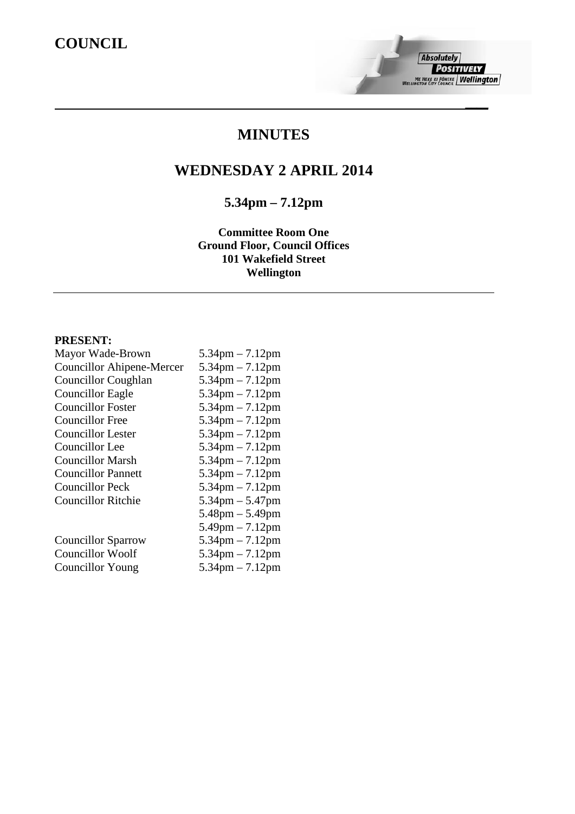# **COUNCIL**

# **MINUTES**

**\_\_\_\_**

**Absolutely** 

**POSITIVELY** ME HEKE KI PÕNEKE | Wellington

# **WEDNESDAY 2 APRIL 2014**

# **5.34pm – 7.12pm**

**Committee Room One Ground Floor, Council Offices 101 Wakefield Street Wellington**

# PRESENT:

| Mayor Wade-Brown                 | $5.34$ pm $- 7.12$ pm             |
|----------------------------------|-----------------------------------|
| <b>Councillor Ahipene-Mercer</b> | $5.34$ pm $- 7.12$ pm             |
| <b>Councillor Coughlan</b>       | $5.34 \text{pm} - 7.12 \text{pm}$ |
| <b>Councillor Eagle</b>          | $5.34$ pm $- 7.12$ pm             |
| <b>Councillor Foster</b>         | $5.34$ pm $- 7.12$ pm             |
| <b>Councillor Free</b>           | $5.34$ pm $- 7.12$ pm             |
| Councillor Lester                | $5.34$ pm $- 7.12$ pm             |
| Councillor Lee                   | $5.34$ pm $- 7.12$ pm             |
| <b>Councillor Marsh</b>          | $5.34$ pm $- 7.12$ pm             |
| <b>Councillor Pannett</b>        | $5.34$ pm $- 7.12$ pm             |
| <b>Councillor Peck</b>           | $5.34$ pm $- 7.12$ pm             |
| <b>Councillor Ritchie</b>        | $5.34 \text{pm} - 5.47 \text{pm}$ |
|                                  | $5.48 \text{pm} - 5.49 \text{pm}$ |
|                                  | $5.49$ pm $- 7.12$ pm             |
| <b>Councillor Sparrow</b>        | $5.34$ pm $- 7.12$ pm             |
| <b>Councillor Woolf</b>          | $5.34 \text{pm} - 7.12 \text{pm}$ |
| <b>Councillor Young</b>          | $5.34$ pm $- 7.12$ pm             |
|                                  |                                   |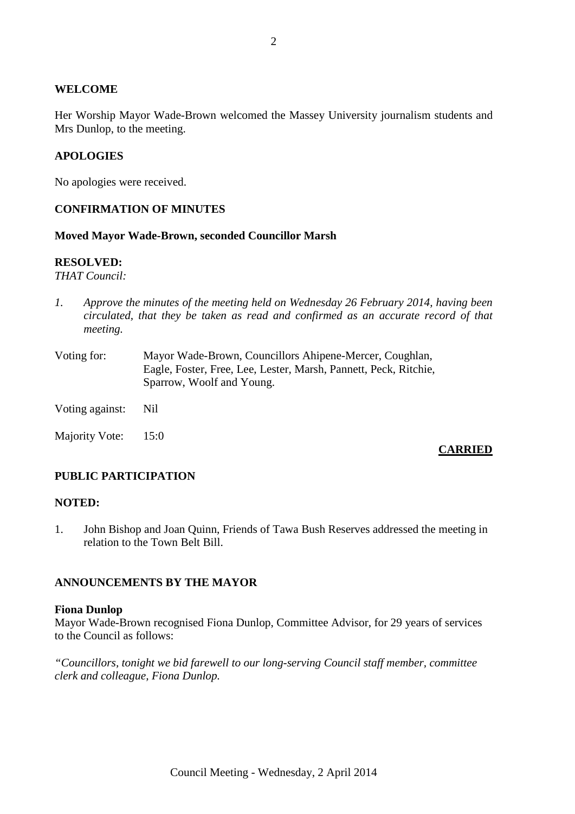## **WELCOME**

Her Worship Mayor Wade-Brown welcomed the Massey University journalism students and Mrs Dunlop, to the meeting.

# **APOLOGIES**

No apologies were received.

## **CONFIRMATION OF MINUTES**

### **Moved Mayor Wade-Brown, seconded Councillor Marsh**

## **RESOLVED:**

*THAT Council:*

- *1. Approve the minutes of the meeting held on Wednesday 26 February 2014, having been circulated, that they be taken as read and confirmed as an accurate record of that meeting.*
- Voting for: Mayor Wade-Brown, Councillors Ahipene-Mercer, Coughlan, Eagle, Foster, Free, Lee, Lester, Marsh, Pannett, Peck, Ritchie, Sparrow, Woolf and Young.
- Voting against: Nil
- Majority Vote: 15:0

# **CARRIED**

# **PUBLIC PARTICIPATION**

## **NOTED:**

1. John Bishop and Joan Quinn, Friends of Tawa Bush Reserves addressed the meeting in relation to the Town Belt Bill.

## **ANNOUNCEMENTS BY THE MAYOR**

### **Fiona Dunlop**

Mayor Wade-Brown recognised Fiona Dunlop, Committee Advisor, for 29 years of services to the Council as follows:

*"Councillors, tonight we bid farewell to our long-serving Council staff member, committee clerk and colleague, Fiona Dunlop.*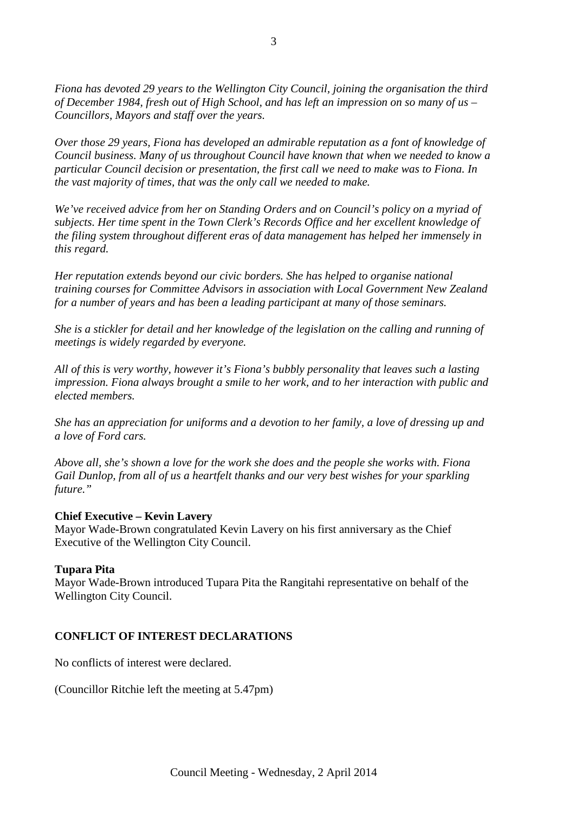*Fiona has devoted 29 years to the Wellington City Council, joining the organisation the third of December 1984, fresh out of High School, and has left an impression on so many of us – Councillors, Mayors and staff over the years.*

*Over those 29 years, Fiona has developed an admirable reputation as a font of knowledge of Council business. Many of us throughout Council have known that when we needed to know a particular Council decision or presentation, the first call we need to make was to Fiona. In the vast majority of times, that was the only call we needed to make.*

*We've received advice from her on Standing Orders and on Council's policy on a myriad of subjects. Her time spent in the Town Clerk's Records Office and her excellent knowledge of the filing system throughout different eras of data management has helped her immensely in this regard.* 

*Her reputation extends beyond our civic borders. She has helped to organise national training courses for Committee Advisors in association with Local Government New Zealand for a number of years and has been a leading participant at many of those seminars.*

*She is a stickler for detail and her knowledge of the legislation on the calling and running of meetings is widely regarded by everyone.*

*All of this is very worthy, however it's Fiona's bubbly personality that leaves such a lasting impression. Fiona always brought a smile to her work, and to her interaction with public and elected members.*

*She has an appreciation for uniforms and a devotion to her family, a love of dressing up and a love of Ford cars.*

*Above all, she's shown a love for the work she does and the people she works with. Fiona Gail Dunlop, from all of us a heartfelt thanks and our very best wishes for your sparkling future."*

## **Chief Executive – Kevin Lavery**

Mayor Wade-Brown congratulated Kevin Lavery on his first anniversary as the Chief Executive of the Wellington City Council.

### **Tupara Pita**

Mayor Wade-Brown introduced Tupara Pita the Rangitahi representative on behalf of the Wellington City Council.

## **CONFLICT OF INTEREST DECLARATIONS**

No conflicts of interest were declared.

(Councillor Ritchie left the meeting at 5.47pm)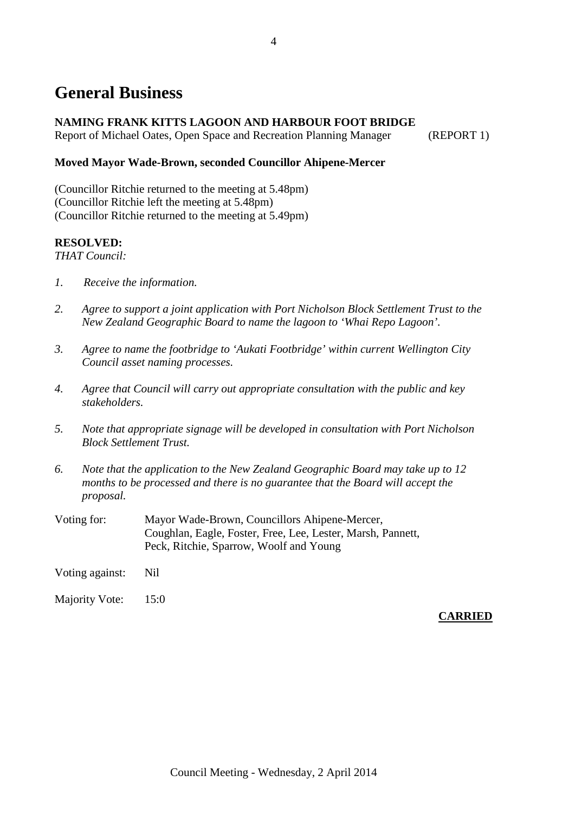# **General Business**

# **NAMING FRANK KITTS LAGOON AND HARBOUR FOOT BRIDGE**

Report of Michael Oates, Open Space and Recreation Planning Manager (REPORT 1)

# **Moved Mayor Wade-Brown, seconded Councillor Ahipene-Mercer**

(Councillor Ritchie returned to the meeting at 5.48pm) (Councillor Ritchie left the meeting at 5.48pm) (Councillor Ritchie returned to the meeting at 5.49pm)

## **RESOLVED:**

*THAT Council:*

- *1. Receive the information.*
- *2. Agree to support a joint application with Port Nicholson Block Settlement Trust to the New Zealand Geographic Board to name the lagoon to 'Whai Repo Lagoon'.*
- *3. Agree to name the footbridge to 'Aukati Footbridge' within current Wellington City Council asset naming processes.*
- *4. Agree that Council will carry out appropriate consultation with the public and key stakeholders.*
- *5. Note that appropriate signage will be developed in consultation with Port Nicholson Block Settlement Trust.*
- *6. Note that the application to the New Zealand Geographic Board may take up to 12 months to be processed and there is no guarantee that the Board will accept the proposal.*
- Voting for: Mayor Wade-Brown, Councillors Ahipene-Mercer, Coughlan, Eagle, Foster, Free, Lee, Lester, Marsh, Pannett, Peck, Ritchie, Sparrow, Woolf and Young
- Voting against: Nil
- Majority Vote: 15:0

**CARRIED**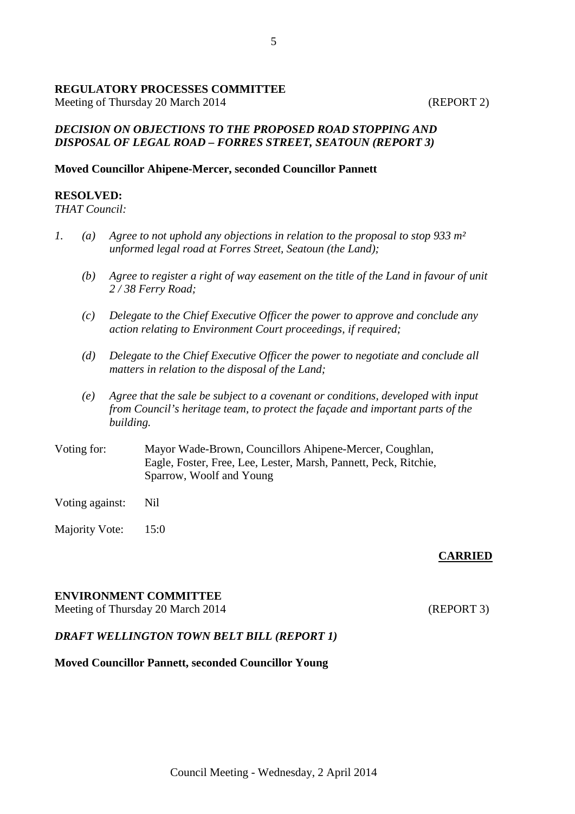### **REGULATORY PROCESSES COMMITTEE**

Meeting of Thursday 20 March 2014 (REPORT 2)

# *DECISION ON OBJECTIONS TO THE PROPOSED ROAD STOPPING AND DISPOSAL OF LEGAL ROAD – FORRES STREET, SEATOUN (REPORT 3)*

### **Moved Councillor Ahipene-Mercer, seconded Councillor Pannett**

### **RESOLVED:**

*THAT Council:*

- *1. (a) Agree to not uphold any objections in relation to the proposal to stop 933 m² unformed legal road at Forres Street, Seatoun (the Land);*
	- *(b) Agree to register a right of way easement on the title of the Land in favour of unit 2 / 38 Ferry Road;*
	- *(c) Delegate to the Chief Executive Officer the power to approve and conclude any action relating to Environment Court proceedings, if required;*
	- *(d) Delegate to the Chief Executive Officer the power to negotiate and conclude all matters in relation to the disposal of the Land;*
	- *(e) Agree that the sale be subject to a covenant or conditions, developed with input from Council's heritage team, to protect the façade and important parts of the building.*
- Voting for: Mayor Wade-Brown, Councillors Ahipene-Mercer, Coughlan, Eagle, Foster, Free, Lee, Lester, Marsh, Pannett, Peck, Ritchie, Sparrow, Woolf and Young
- Voting against: Nil
- Majority Vote: 15:0

### **CARRIED**

### **ENVIRONMENT COMMITTEE**

Meeting of Thursday 20 March 2014 (REPORT 3)

## *DRAFT WELLINGTON TOWN BELT BILL (REPORT 1)*

### **Moved Councillor Pannett, seconded Councillor Young**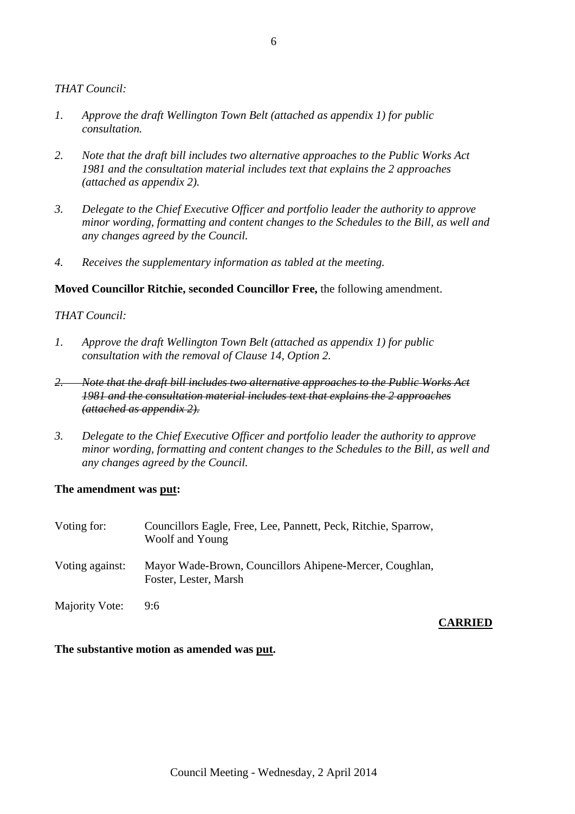*THAT Council:*

- *1. Approve the draft Wellington Town Belt (attached as appendix 1) for public consultation.*
- *2. Note that the draft bill includes two alternative approaches to the Public Works Act 1981 and the consultation material includes text that explains the 2 approaches (attached as appendix 2).*
- *3. Delegate to the Chief Executive Officer and portfolio leader the authority to approve minor wording, formatting and content changes to the Schedules to the Bill, as well and any changes agreed by the Council.*
- *4. Receives the supplementary information as tabled at the meeting.*

### **Moved Councillor Ritchie, seconded Councillor Free,** the following amendment.

### *THAT Council:*

- *1. Approve the draft Wellington Town Belt (attached as appendix 1) for public consultation with the removal of Clause 14, Option 2.*
- *2. Note that the draft bill includes two alternative approaches to the Public Works Act 1981 and the consultation material includes text that explains the 2 approaches (attached as appendix 2).*
- *3. Delegate to the Chief Executive Officer and portfolio leader the authority to approve minor wording, formatting and content changes to the Schedules to the Bill, as well and any changes agreed by the Council.*

### **The amendment was put:**

| Voting for:     | Councillors Eagle, Free, Lee, Pannett, Peck, Ritchie, Sparrow,<br>Woolf and Young |
|-----------------|-----------------------------------------------------------------------------------|
| Voting against: | Mayor Wade-Brown, Councillors Ahipene-Mercer, Coughlan,<br>Foster, Lester, Marsh  |
| Majority Vote:  | 9:6                                                                               |

### **CARRIED**

### **The substantive motion as amended was put.**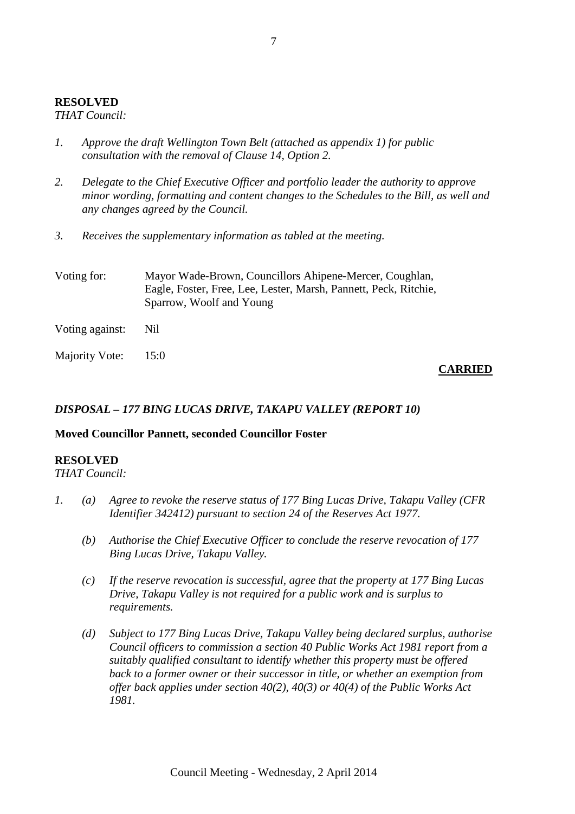## **RESOLVED**

## *THAT Council:*

- *1. Approve the draft Wellington Town Belt (attached as appendix 1) for public consultation with the removal of Clause 14, Option 2.*
- *2. Delegate to the Chief Executive Officer and portfolio leader the authority to approve minor wording, formatting and content changes to the Schedules to the Bill, as well and any changes agreed by the Council.*
- *3. Receives the supplementary information as tabled at the meeting.*

| Voting for:     | Mayor Wade-Brown, Councillors Ahipene-Mercer, Coughlan,<br>Eagle, Foster, Free, Lee, Lester, Marsh, Pannett, Peck, Ritchie,<br>Sparrow, Woolf and Young |
|-----------------|---------------------------------------------------------------------------------------------------------------------------------------------------------|
| Voting against: | Nil                                                                                                                                                     |
| Majority Vote:  | 15:0                                                                                                                                                    |

# **CARRIED**

# *DISPOSAL – 177 BING LUCAS DRIVE, TAKAPU VALLEY (REPORT 10)*

## **Moved Councillor Pannett, seconded Councillor Foster**

# **RESOLVED**

## *THAT Council:*

- *1. (a) Agree to revoke the reserve status of 177 Bing Lucas Drive, Takapu Valley (CFR Identifier 342412) pursuant to section 24 of the Reserves Act 1977.*
	- *(b) Authorise the Chief Executive Officer to conclude the reserve revocation of 177 Bing Lucas Drive, Takapu Valley.*
	- *(c) If the reserve revocation is successful, agree that the property at 177 Bing Lucas Drive, Takapu Valley is not required for a public work and is surplus to requirements.*
	- *(d) Subject to 177 Bing Lucas Drive, Takapu Valley being declared surplus, authorise Council officers to commission a section 40 Public Works Act 1981 report from a suitably qualified consultant to identify whether this property must be offered back to a former owner or their successor in title, or whether an exemption from offer back applies under section 40(2), 40(3) or 40(4) of the Public Works Act 1981.*